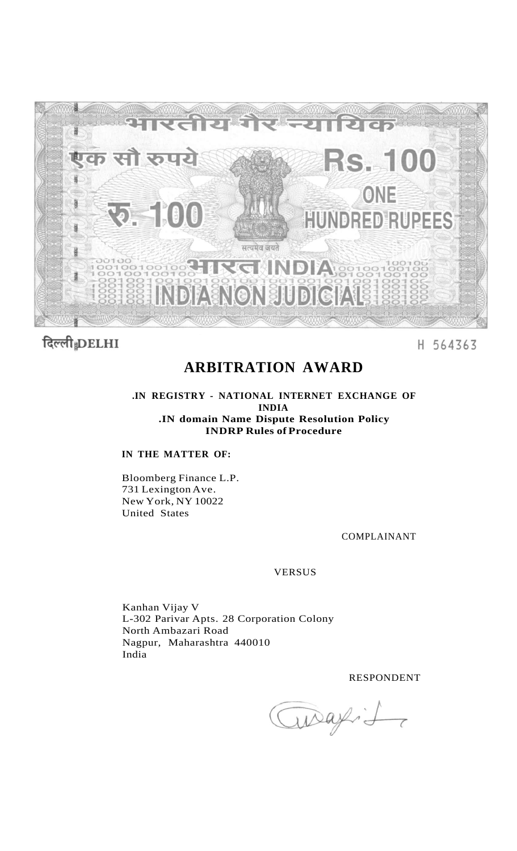

# दिल्ली DELHI

### H 564363

## **ARBITRATION AWARD**

**.IN REGISTRY - NATIONAL INTERNET EXCHANGE OF INDIA .IN domain Name Dispute Resolution Policy INDRP Rules of Procedure** 

#### **IN THE MATTER OF:**

Bloomberg Finance L.P. 731 Lexington Ave. New York, NY 10022 United States

#### COMPLAINANT

#### VERSUS

Kanhan Vijay V L-302 Parivar Apts. 28 Corporation Colony North Ambazari Road Nagpur, Maharashtra 440010 India

RESPONDENT

Queafit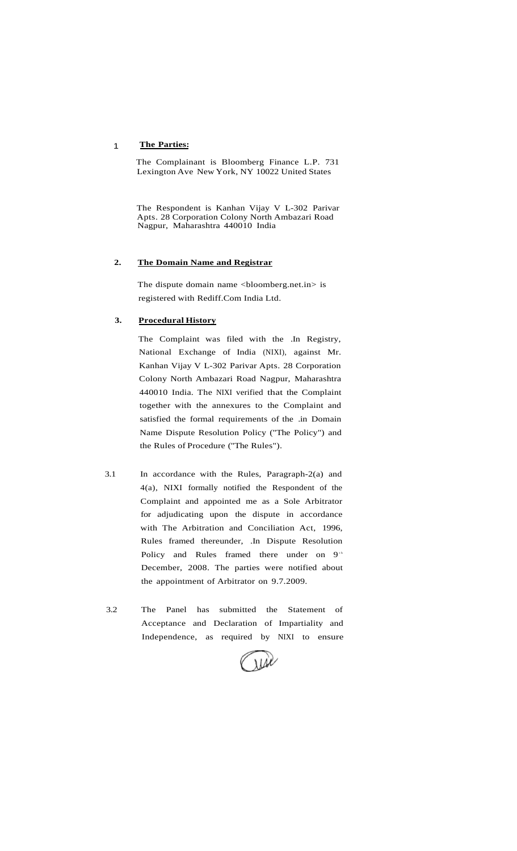#### 1 **The Parties:**

The Complainant is Bloomberg Finance L.P. 731 Lexington Ave New York, NY 10022 United States

The Respondent is Kanhan Vijay V L-302 Parivar Apts. 28 Corporation Colony North Ambazari Road Nagpur, Maharashtra 440010 India

#### **2. The Domain Name and Registrar**

The dispute domain name <bloomberg.net.in> is registered with Rediff.Com India Ltd.

#### **3. Procedural History**

The Complaint was filed with the .In Registry, National Exchange of India (NIXI), against Mr. Kanhan Vijay V L-302 Parivar Apts. 28 Corporation Colony North Ambazari Road Nagpur, Maharashtra 440010 India. The NIXI verified that the Complaint together with the annexures to the Complaint and satisfied the formal requirements of the .in Domain Name Dispute Resolution Policy ("The Policy") and the Rules of Procedure ("The Rules").

- 3.1 In accordance with the Rules, Paragraph-2(a) and 4(a), NIXI formally notified the Respondent of the Complaint and appointed me as a Sole Arbitrator for adjudicating upon the dispute in accordance with The Arbitration and Conciliation Act, 1996, Rules framed thereunder, .In Dispute Resolution Policy and Rules framed there under on 9<sup>th</sup> December, 2008. The parties were notified about the appointment of Arbitrator on 9.7.2009.
- 3.2 The Panel has submitted the Statement of Acceptance and Declaration of Impartiality and Independence, as required by NIXI to ensure

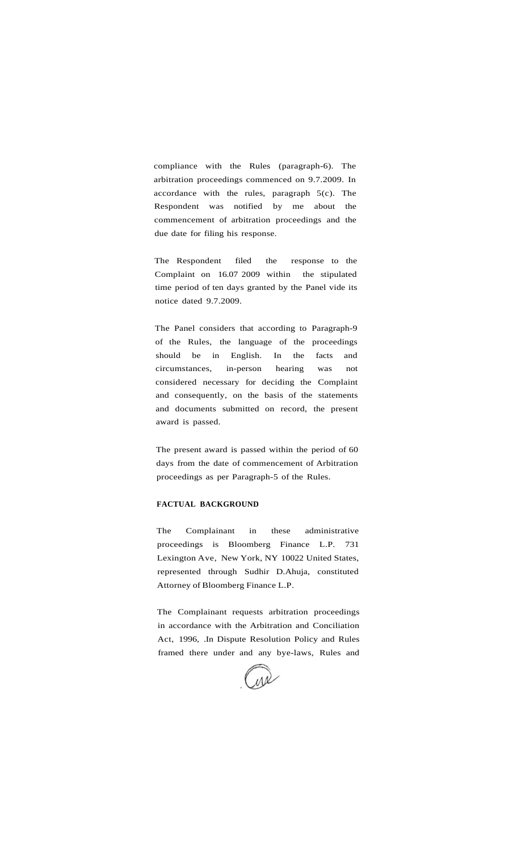compliance with the Rules (paragraph-6). The arbitration proceedings commenced on 9.7.2009. In accordance with the rules, paragraph  $5(c)$ . The Respondent was notified by me about the commencement of arbitration proceedings and the due date for filing his response.

The Respondent filed the response to the Complaint on 16.07 2009 within the stipulated time period of ten days granted by the Panel vide its notice dated 9.7.2009.

The Panel considers that according to Paragraph-9 of the Rules, the language of the proceedings should be in English. In the facts and circumstances, in-person hearing was not considered necessary for deciding the Complaint and consequently, on the basis of the statements and documents submitted on record, the present award is passed.

The present award is passed within the period of 60 days from the date of commencement of Arbitration proceedings as per Paragraph-5 of the Rules.

#### **FACTUAL BACKGROUND**

The Complainant in these administrative proceedings is Bloomberg Finance L.P. 731 Lexington Ave, New York, NY 10022 United States, represented through Sudhir D.Ahuja, constituted Attorney of Bloomberg Finance L.P.

The Complainant requests arbitration proceedings in accordance with the Arbitration and Conciliation Act, 1996, .In Dispute Resolution Policy and Rules framed there under and any bye-laws, Rules and

 $M_{\ell}$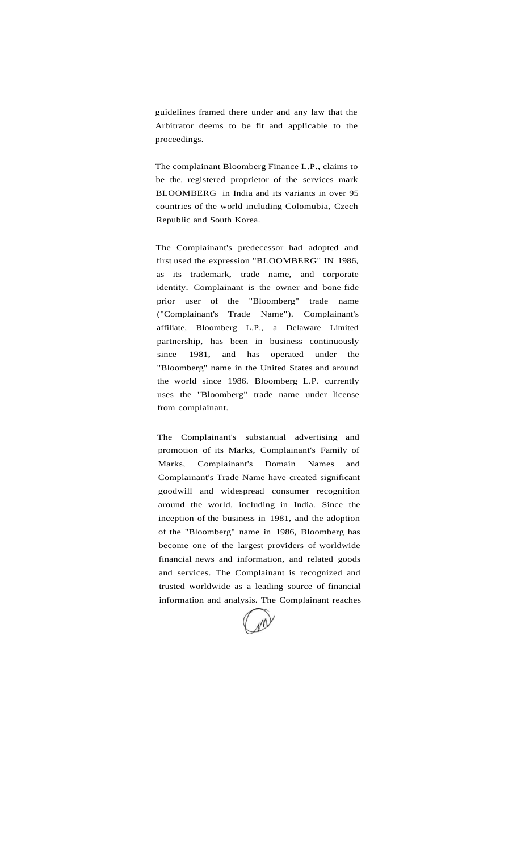guidelines framed there under and any law that the Arbitrator deems to be fit and applicable to the proceedings.

The complainant Bloomberg Finance L.P., claims to be the. registered proprietor of the services mark BLOOMBERG in India and its variants in over 95 countries of the world including Colomubia, Czech Republic and South Korea.

The Complainant's predecessor had adopted and first used the expression "BLOOMBERG" IN 1986, as its trademark, trade name, and corporate identity. Complainant is the owner and bone fide prior user of the "Bloomberg" trade name ("Complainant's Trade Name"). Complainant's affiliate, Bloomberg L.P., a Delaware Limited partnership, has been in business continuously since 1981, and has operated under the "Bloomberg" name in the United States and around the world since 1986. Bloomberg L.P. currently uses the "Bloomberg" trade name under license from complainant.

The Complainant's substantial advertising and promotion of its Marks, Complainant's Family of Marks, Complainant's Domain Names and Complainant's Trade Name have created significant goodwill and widespread consumer recognition around the world, including in India. Since the inception of the business in 1981, and the adoption of the "Bloomberg" name in 1986, Bloomberg has become one of the largest providers of worldwide financial news and information, and related goods and services. The Complainant is recognized and trusted worldwide as a leading source of financial information and analysis. The Complainant reaches

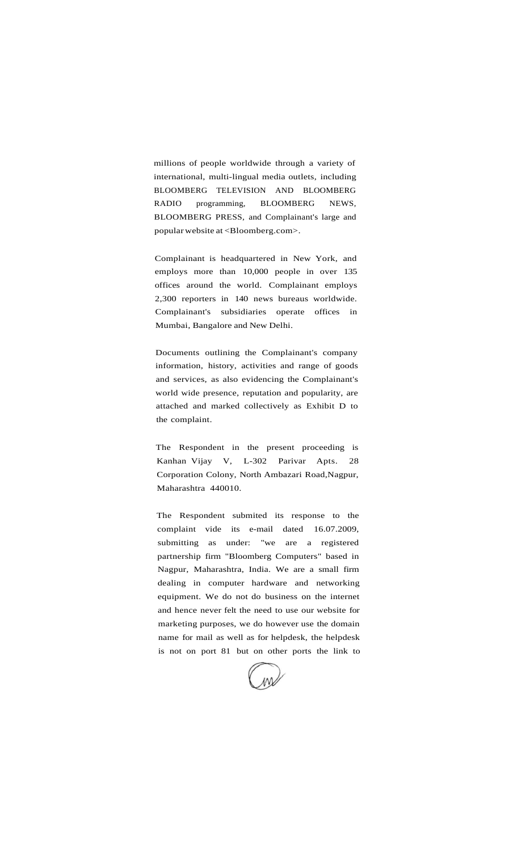millions of people worldwide through a variety of international, multi-lingual media outlets, including BLOOMBERG TELEVISION AND BLOOMBERG RADIO programming, BLOOMBERG NEWS, BLOOMBERG PRESS, and Complainant's large and popular website at <Bloomberg.com>.

Complainant is headquartered in New York, and employs more than 10,000 people in over 135 offices around the world. Complainant employs 2,300 reporters in 140 news bureaus worldwide. Complainant's subsidiaries operate offices in Mumbai, Bangalore and New Delhi.

Documents outlining the Complainant's company information, history, activities and range of goods and services, as also evidencing the Complainant's world wide presence, reputation and popularity, are attached and marked collectively as Exhibit D to the complaint.

The Respondent in the present proceeding is Kanhan Vijay V, L-302 Parivar Apts. 28 Corporation Colony, North Ambazari Road,Nagpur, Maharashtra 440010.

The Respondent submited its response to the complaint vide its e-mail dated 16.07.2009, submitting as under: "we are a registered partnership firm "Bloomberg Computers" based in Nagpur, Maharashtra, India. We are a small firm dealing in computer hardware and networking equipment. We do not do business on the internet and hence never felt the need to use our website for marketing purposes, we do however use the domain name for mail as well as for helpdesk, the helpdesk is not on port 81 but on other ports the link to

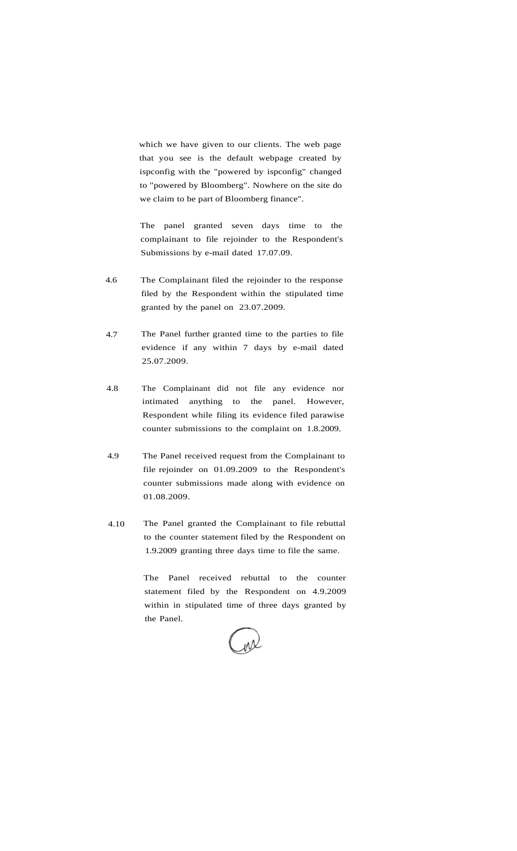which we have given to our clients. The web page that you see is the default webpage created by ispconfig with the "powered by ispconfig" changed to "powered by Bloomberg". Nowhere on the site do we claim to be part of Bloomberg finance".

The panel granted seven days time to the complainant to file rejoinder to the Respondent's Submissions by e-mail dated 17.07.09.

- 4.6 The Complainant filed the rejoinder to the response filed by the Respondent within the stipulated time granted by the panel on 23.07.2009.
- 4.7 The Panel further granted time to the parties to file evidence if any within 7 days by e-mail dated 25.07.2009.
- 4.8 The Complainant did not file any evidence nor intimated anything to the panel. However, Respondent while filing its evidence filed parawise counter submissions to the complaint on 1.8.2009.
- 4.9 The Panel received request from the Complainant to file rejoinder on 01.09.2009 to the Respondent's counter submissions made along with evidence on 01.08.2009.
- 4.10 The Panel granted the Complainant to file rebuttal to the counter statement filed by the Respondent on 1.9.2009 granting three days time to file the same.

The Panel received rebuttal to the counter statement filed by the Respondent on 4.9.2009 within in stipulated time of three days granted by the Panel.

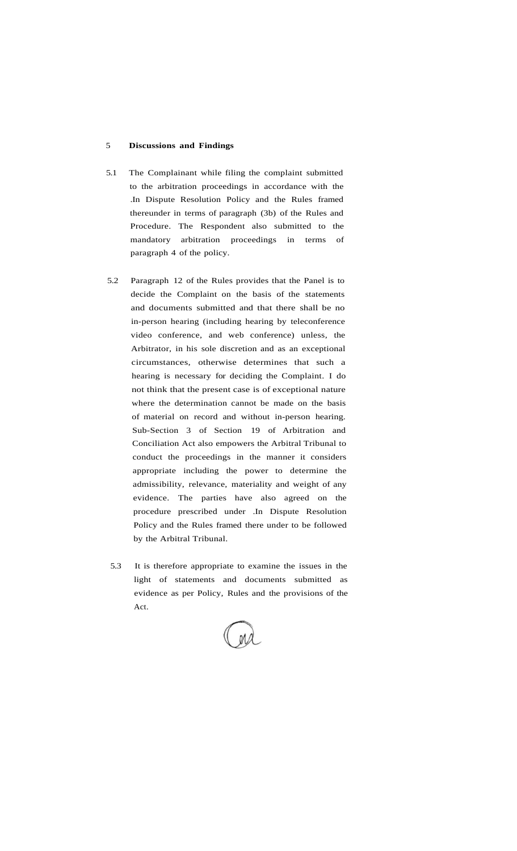#### 5 **Discussions and Findings**

- 5.1 The Complainant while filing the complaint submitted to the arbitration proceedings in accordance with the .In Dispute Resolution Policy and the Rules framed thereunder in terms of paragraph (3b) of the Rules and Procedure. The Respondent also submitted to the mandatory arbitration proceedings in terms of paragraph 4 of the policy.
- 5.2 Paragraph 12 of the Rules provides that the Panel is to decide the Complaint on the basis of the statements and documents submitted and that there shall be no in-person hearing (including hearing by teleconference video conference, and web conference) unless, the Arbitrator, in his sole discretion and as an exceptional circumstances, otherwise determines that such a hearing is necessary for deciding the Complaint. I do not think that the present case is of exceptional nature where the determination cannot be made on the basis of material on record and without in-person hearing. Sub-Section 3 of Section 19 of Arbitration and Conciliation Act also empowers the Arbitral Tribunal to conduct the proceedings in the manner it considers appropriate including the power to determine the admissibility, relevance, materiality and weight of any evidence. The parties have also agreed on the procedure prescribed under .In Dispute Resolution Policy and the Rules framed there under to be followed by the Arbitral Tribunal.
- 5.3 It is therefore appropriate to examine the issues in the light of statements and documents submitted as evidence as per Policy, Rules and the provisions of the Act.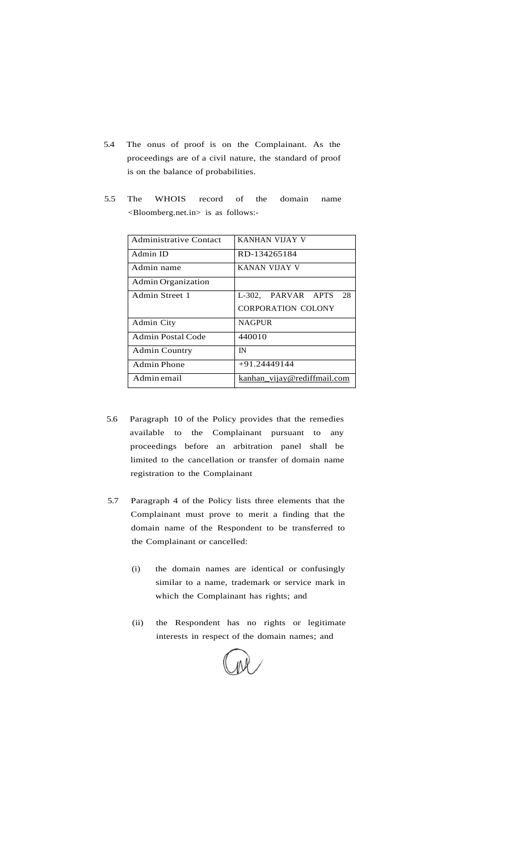- 5.4 The onus of proof is on the Complainant. As the proceedings are of a civil nature, the standard of proof is on the balance of probabilities.
- 5.5 The WHOIS record of the domain name <Bloomberg.net.in> is as follows:-

| <b>Administrative Contact</b> | KANHAN VIJAY V              |
|-------------------------------|-----------------------------|
| Admin ID                      | RD-134265184                |
| Admin name                    | KANAN VIJAY V               |
| Admin Organization            |                             |
| Admin Street 1                | L-302. PARVAR APTS<br>28    |
|                               | <b>CORPORATION COLONY</b>   |
| Admin City                    | <b>NAGPUR</b>               |
| Admin Postal Code             | 440010                      |
| <b>Admin Country</b>          | IN                          |
| Admin Phone                   | $+91.24449144$              |
| Admin email                   | kanhan vijay@rediffmail.com |

- 5.6 Paragraph 10 of the Policy provides that the remedies available to the Complainant pursuant to any proceedings before an arbitration panel shall be limited to the cancellation or transfer of domain name registration to the Complainant
- 5.7 Paragraph 4 of the Policy lists three elements that the Complainant must prove to merit a finding that the domain name of the Respondent to be transferred to the Complainant or cancelled:
	- (i) the domain names are identical or confusingly similar to a name, trademark or service mark in which the Complainant has rights; and
	- (ii) the Respondent has no rights or legitimate interests in respect of the domain names; and

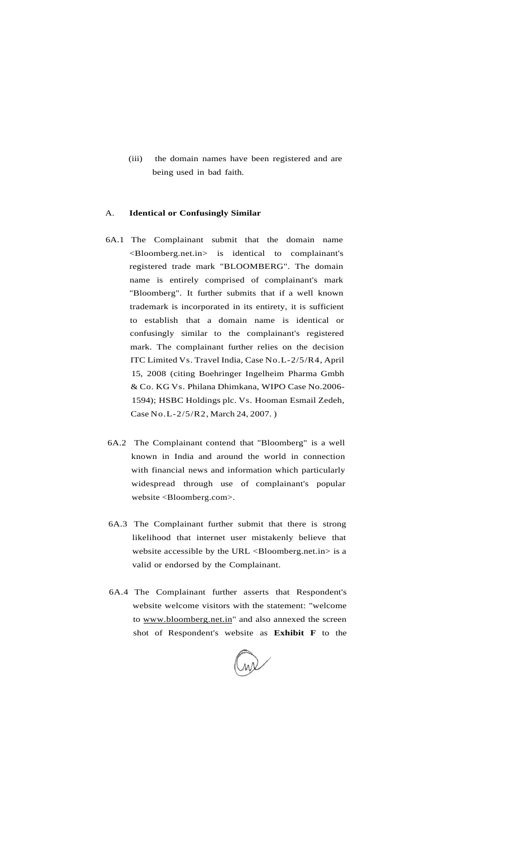(iii) the domain names have been registered and are being used in bad faith.

#### A. **Identical or Confusingly Similar**

- 6A.1 The Complainant submit that the domain name <Bloomberg.net.in> is identical to complainant's registered trade mark "BLOOMBERG". The domain name is entirely comprised of complainant's mark "Bloomberg". It further submits that if a well known trademark is incorporated in its entirety, it is sufficient to establish that a domain name is identical or confusingly similar to the complainant's registered mark. The complainant further relies on the decision ITC Limited Vs. Travel India, Case No.L-2/5/R4, April 15, 2008 (citing Boehringer Ingelheim Pharma Gmbh & Co. KG Vs. Philana Dhimkana, WIPO Case No.2006- 1594); HSBC Holdings plc. Vs. Hooman Esmail Zedeh, Case No.L-2/5/R2, March 24, 2007. )
- 6A.2 The Complainant contend that "Bloomberg" is a well known in India and around the world in connection with financial news and information which particularly widespread through use of complainant's popular website <Bloomberg.com>.
- 6A.3 The Complainant further submit that there is strong likelihood that internet user mistakenly believe that website accessible by the URL <Bloomberg.net.in> is a valid or endorsed by the Complainant.
- 6A.4 The Complainant further asserts that Respondent's website welcome visitors with the statement: "welcome to [www.bloomberg.net.in"](http://www.bloomberg.net.in) and also annexed the screen shot of Respondent's website as **Exhibit F** to the

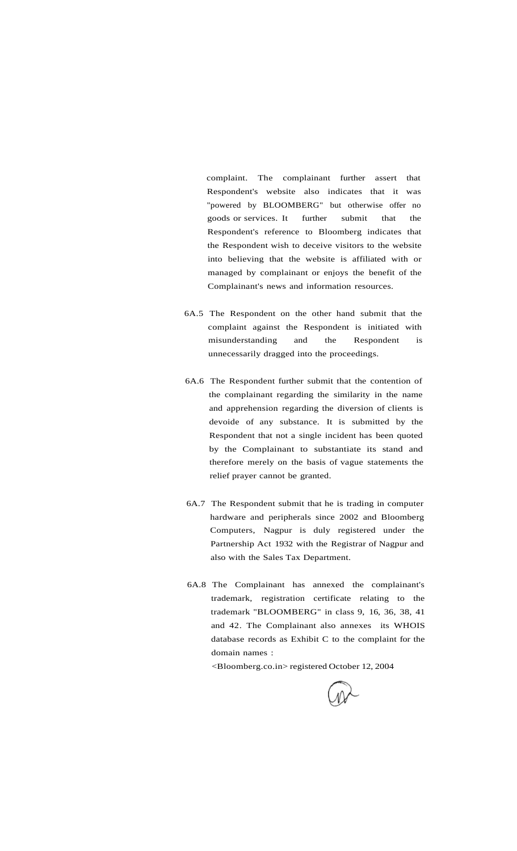complaint. The complainant further assert that Respondent's website also indicates that it was "powered by BLOOMBERG" but otherwise offer no goods or services. It further submit that the Respondent's reference to Bloomberg indicates that the Respondent wish to deceive visitors to the website into believing that the website is affiliated with or managed by complainant or enjoys the benefit of the Complainant's news and information resources.

- 6A.5 The Respondent on the other hand submit that the complaint against the Respondent is initiated with misunderstanding and the Respondent is unnecessarily dragged into the proceedings.
- 6A.6 The Respondent further submit that the contention of the complainant regarding the similarity in the name and apprehension regarding the diversion of clients is devoide of any substance. It is submitted by the Respondent that not a single incident has been quoted by the Complainant to substantiate its stand and therefore merely on the basis of vague statements the relief prayer cannot be granted.
- 6A.7 The Respondent submit that he is trading in computer hardware and peripherals since 2002 and Bloomberg Computers, Nagpur is duly registered under the Partnership Act 1932 with the Registrar of Nagpur and also with the Sales Tax Department.
- 6A.8 The Complainant has annexed the complainant's trademark, registration certificate relating to the trademark "BLOOMBERG" in class 9, 16, 36, 38, 41 and 42. The Complainant also annexes its WHOIS database records as Exhibit C to the complaint for the domain names :

<Bloomberg.co.in> registered October 12, 2004

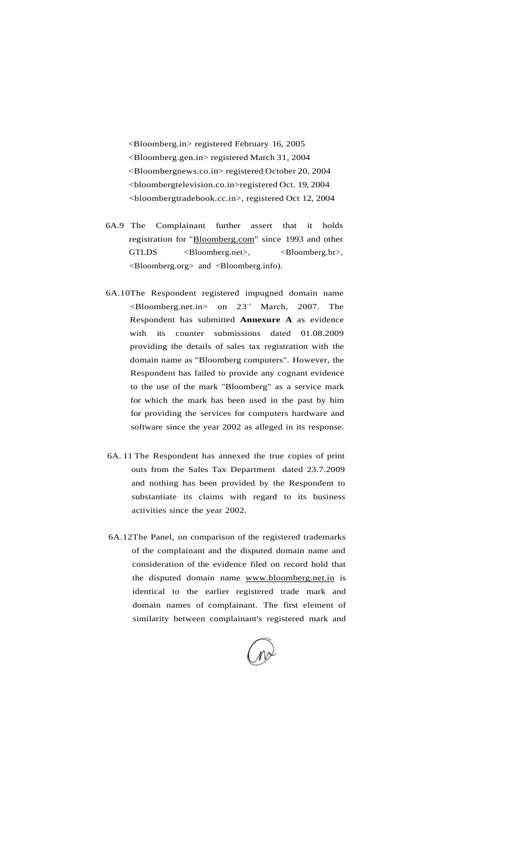<Bloomberg.in> registered February 16, 2005 <Bloomberg.gen.in> registered March 31, 2004 <Bloombergnews.co.in> registered October 20, 2004 <bloombergtelevision.co.in>registered Oct. 19, 2004 <bloombergtradebook.cc.in>, registered Oct 12, 2004

- 6A.9 The Complainant further assert that it holds registration for "[Bloomberg.com"](http://Bloomberg.com) since 1993 and other GTLDS <Bloomberg.net>, <Bloomberg.br>, <Bloomberg.org> and <Bloomberg.info).
- 6A.10The Respondent registered impugned domain name  $\leq$ Bloomberg.net.in > on 23<sup>td</sup> March, 2007. The Respondent has submitted **Annexure A** as evidence with its counter submissions dated 01.08.2009 providing the details of sales tax registration with the domain name as "Bloomberg computers". However, the Respondent has failed to provide any cognant evidence to the use of the mark "Bloomberg" as a service mark for which the mark has been used in the past by him for providing the services for computers hardware and software since the year 2002 as alleged in its response.
- 6A. 11 The Respondent has annexed the true copies of print outs from the Sales Tax Department dated 23.7.2009 and nothing has been provided by the Respondent to substantiate its claims with regard to its business activities since the year 2002.
- 6A.12The Panel, on comparison of the registered trademarks of the complainant and the disputed domain name and consideration of the evidence filed on record hold that the disputed domain name [www.bloomberg.net.in](http://www.bloomberg.net.in) is identical to the earlier registered trade mark and domain names of complainant. The first element of similarity between complainant's registered mark and

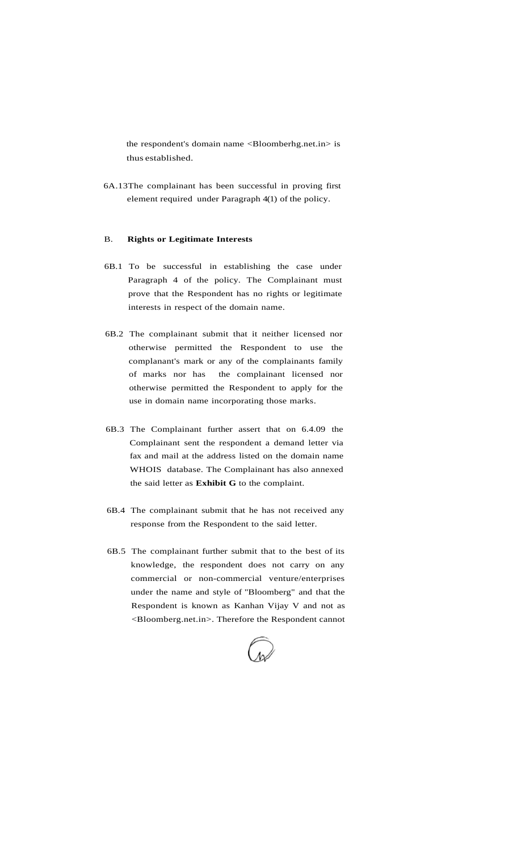the respondent's domain name <Bloomberhg.net.in> is thus established.

6A.13The complainant has been successful in proving first element required under Paragraph 4(1) of the policy.

#### B. **Rights or Legitimate Interests**

- 6B.1 To be successful in establishing the case under Paragraph 4 of the policy. The Complainant must prove that the Respondent has no rights or legitimate interests in respect of the domain name.
- 6B.2 The complainant submit that it neither licensed nor otherwise permitted the Respondent to use the complanant's mark or any of the complainants family of marks nor has the complainant licensed nor otherwise permitted the Respondent to apply for the use in domain name incorporating those marks.
- 6B.3 The Complainant further assert that on 6.4.09 the Complainant sent the respondent a demand letter via fax and mail at the address listed on the domain name WHOIS database. The Complainant has also annexed the said letter as **Exhibit G** to the complaint.
- 6B.4 The complainant submit that he has not received any response from the Respondent to the said letter.
- 6B.5 The complainant further submit that to the best of its knowledge, the respondent does not carry on any commercial or non-commercial venture/enterprises under the name and style of "Bloomberg" and that the Respondent is known as Kanhan Vijay V and not as <Bloomberg.net.in>. Therefore the Respondent cannot

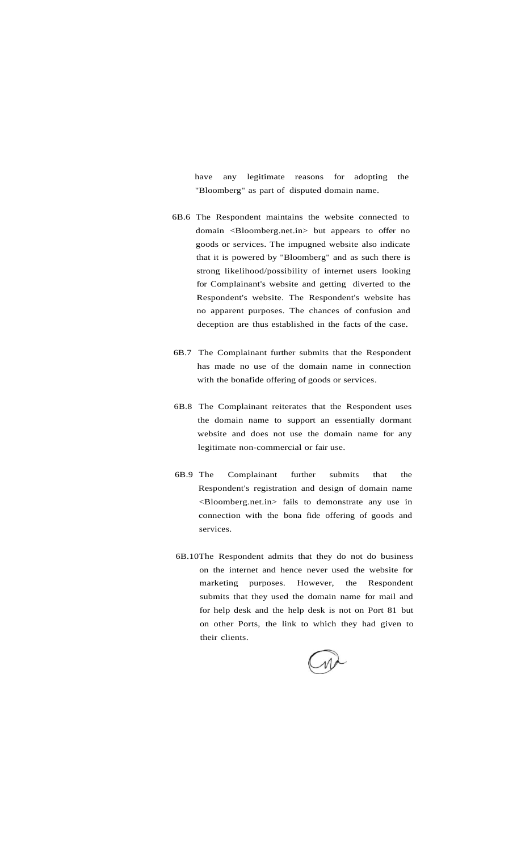have any legitimate reasons for adopting the "Bloomberg" as part of disputed domain name.

- 6B.6 The Respondent maintains the website connected to domain <Bloomberg.net.in> but appears to offer no goods or services. The impugned website also indicate that it is powered by "Bloomberg" and as such there is strong likelihood/possibility of internet users looking for Complainant's website and getting diverted to the Respondent's website. The Respondent's website has no apparent purposes. The chances of confusion and deception are thus established in the facts of the case.
- 6B.7 The Complainant further submits that the Respondent has made no use of the domain name in connection with the bonafide offering of goods or services.
- 6B.8 The Complainant reiterates that the Respondent uses the domain name to support an essentially dormant website and does not use the domain name for any legitimate non-commercial or fair use.
- 6B.9 The Complainant further submits that the Respondent's registration and design of domain name <Bloomberg.net.in> fails to demonstrate any use in connection with the bona fide offering of goods and services.
- 6B.10The Respondent admits that they do not do business on the internet and hence never used the website for marketing purposes. However, the Respondent submits that they used the domain name for mail and for help desk and the help desk is not on Port 81 but on other Ports, the link to which they had given to their clients.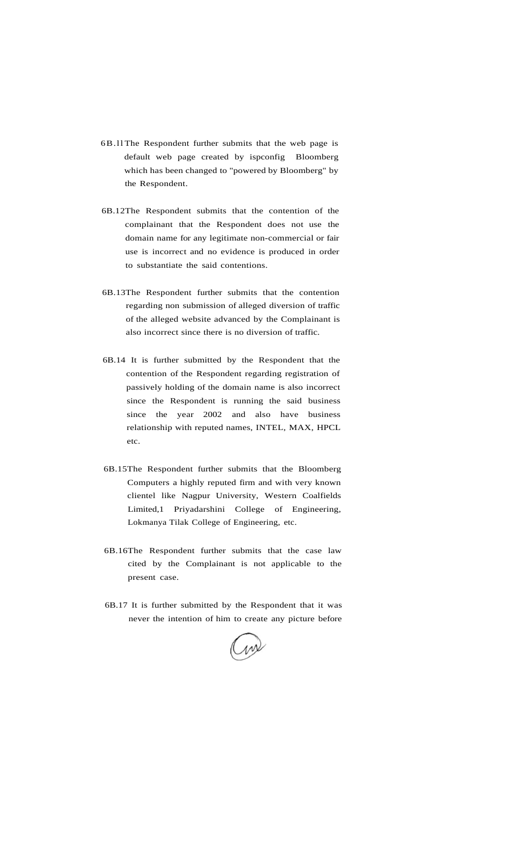- 6B.ll The Respondent further submits that the web page is default web page created by ispconfig Bloomberg which has been changed to "powered by Bloomberg" by the Respondent.
- 6B.12The Respondent submits that the contention of the complainant that the Respondent does not use the domain name for any legitimate non-commercial or fair use is incorrect and no evidence is produced in order to substantiate the said contentions.
- 6B.13The Respondent further submits that the contention regarding non submission of alleged diversion of traffic of the alleged website advanced by the Complainant is also incorrect since there is no diversion of traffic.
- 6B.14 It is further submitted by the Respondent that the contention of the Respondent regarding registration of passively holding of the domain name is also incorrect since the Respondent is running the said business since the year 2002 and also have business relationship with reputed names, INTEL, MAX, HPCL etc.
- 6B.15The Respondent further submits that the Bloomberg Computers a highly reputed firm and with very known clientel like Nagpur University, Western Coalfields Limited,1 Priyadarshini College of Engineering, Lokmanya Tilak College of Engineering, etc.
- 6B.16The Respondent further submits that the case law cited by the Complainant is not applicable to the present case.
- 6B.17 It is further submitted by the Respondent that it was never the intention of him to create any picture before

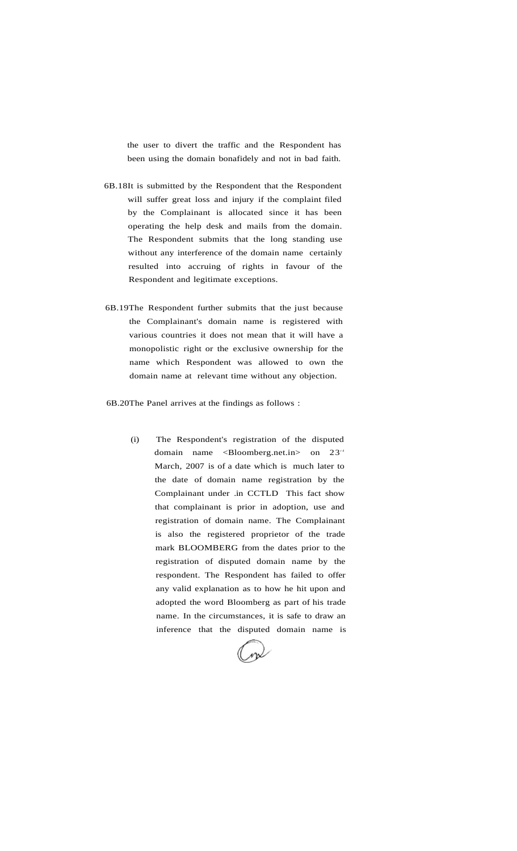the user to divert the traffic and the Respondent has been using the domain bonafidely and not in bad faith.

- 6B.18It is submitted by the Respondent that the Respondent will suffer great loss and injury if the complaint filed by the Complainant is allocated since it has been operating the help desk and mails from the domain. The Respondent submits that the long standing use without any interference of the domain name certainly resulted into accruing of rights in favour of the Respondent and legitimate exceptions.
- 6B.19The Respondent further submits that the just because the Complainant's domain name is registered with various countries it does not mean that it will have a monopolistic right or the exclusive ownership for the name which Respondent was allowed to own the domain name at relevant time without any objection.

6B.20The Panel arrives at the findings as follows :

(i) The Respondent's registration of the disputed domain name <Bloomberg.net.in> on 23<sup>rd</sup> March, 2007 is of a date which is much later to the date of domain name registration by the Complainant under .in CCTLD This fact show that complainant is prior in adoption, use and registration of domain name. The Complainant is also the registered proprietor of the trade mark BLOOMBERG from the dates prior to the registration of disputed domain name by the respondent. The Respondent has failed to offer any valid explanation as to how he hit upon and adopted the word Bloomberg as part of his trade name. In the circumstances, it is safe to draw an inference that the disputed domain name is

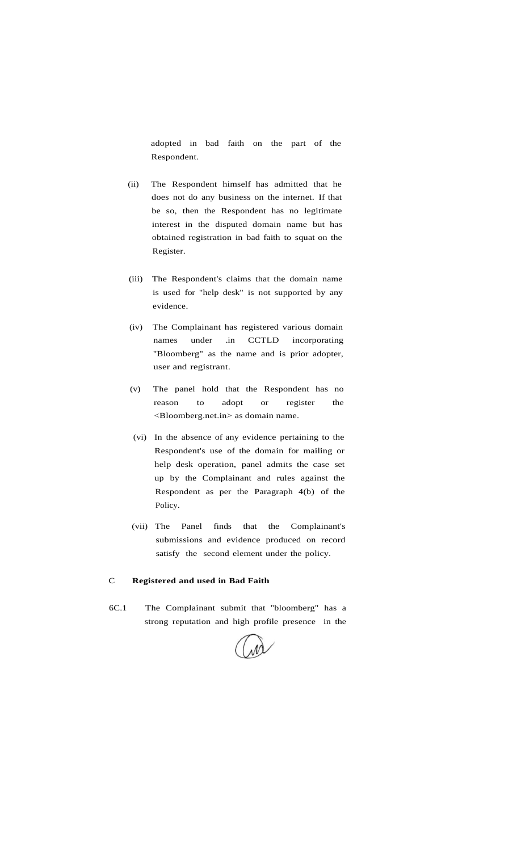adopted in bad faith on the part of the Respondent.

- (ii) The Respondent himself has admitted that he does not do any business on the internet. If that be so, then the Respondent has no legitimate interest in the disputed domain name but has obtained registration in bad faith to squat on the Register.
- (iii) The Respondent's claims that the domain name is used for "help desk" is not supported by any evidence.
- (iv) The Complainant has registered various domain names under .in CCTLD incorporating "Bloomberg" as the name and is prior adopter, user and registrant.
- (v) The panel hold that the Respondent has no reason to adopt or register the <Bloomberg.net.in> as domain name.
- (vi) In the absence of any evidence pertaining to the Respondent's use of the domain for mailing or help desk operation, panel admits the case set up by the Complainant and rules against the Respondent as per the Paragraph 4(b) of the Policy.
- (vii) The Panel finds that the Complainant's submissions and evidence produced on record satisfy the second element under the policy.

#### C **Registered and used in Bad Faith**

6C.1 The Complainant submit that "bloomberg" has a strong reputation and high profile presence in the

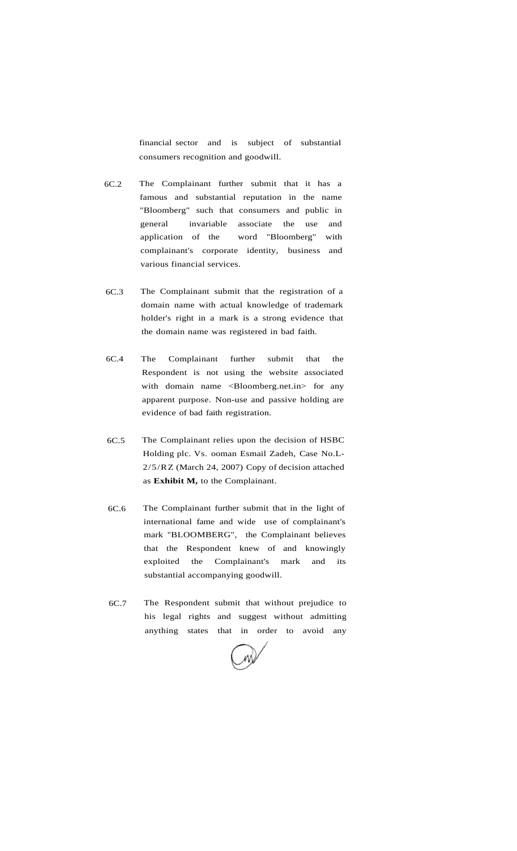financial sector and is subject of substantial consumers recognition and goodwill.

- 6C.2 The Complainant further submit that it has a famous and substantial reputation in the name "Bloomberg" such that consumers and public in general invariable associate the use and application of the word "Bloomberg" with complainant's corporate identity, business and various financial services.
- 6C.3 The Complainant submit that the registration of a domain name with actual knowledge of trademark holder's right in a mark is a strong evidence that the domain name was registered in bad faith.
- 6C.4 The Complainant further submit that the Respondent is not using the website associated with domain name <Bloomberg.net.in> for any apparent purpose. Non-use and passive holding are evidence of bad faith registration.
- 6C.5 The Complainant relies upon the decision of HSBC Holding plc. Vs. ooman Esmail Zadeh, Case No.L-2/5/RZ (March 24, 2007) Copy of decision attached as **Exhibit M,** to the Complainant.
- 6C.6 The Complainant further submit that in the light of international fame and wide use of complainant's mark "BLOOMBERG", the Complainant believes that the Respondent knew of and knowingly exploited the Complainant's mark and its substantial accompanying goodwill.
- 6C.7 The Respondent submit that without prejudice to his legal rights and suggest without admitting anything states that in order to avoid any

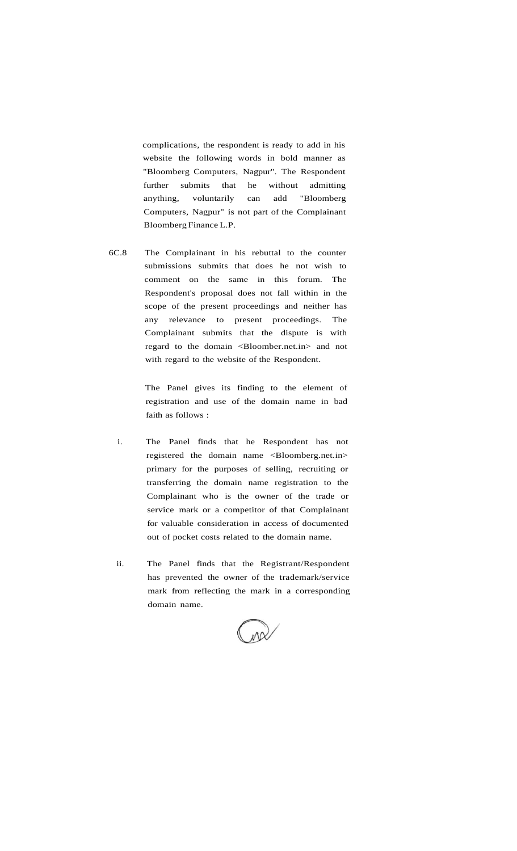complications, the respondent is ready to add in his website the following words in bold manner as "Bloomberg Computers, Nagpur". The Respondent further submits that he without admitting anything, voluntarily can add "Bloomberg Computers, Nagpur" is not part of the Complainant Bloomberg Finance L.P.

6C.8 The Complainant in his rebuttal to the counter submissions submits that does he not wish to comment on the same in this forum. The Respondent's proposal does not fall within in the scope of the present proceedings and neither has any relevance to present proceedings. The Complainant submits that the dispute is with regard to the domain <Bloomber.net.in> and not with regard to the website of the Respondent.

> The Panel gives its finding to the element of registration and use of the domain name in bad faith as follows :

- i. The Panel finds that he Respondent has not registered the domain name <Bloomberg.net.in> primary for the purposes of selling, recruiting or transferring the domain name registration to the Complainant who is the owner of the trade or service mark or a competitor of that Complainant for valuable consideration in access of documented out of pocket costs related to the domain name.
- ii. The Panel finds that the Registrant/Respondent has prevented the owner of the trademark/service mark from reflecting the mark in a corresponding domain name.

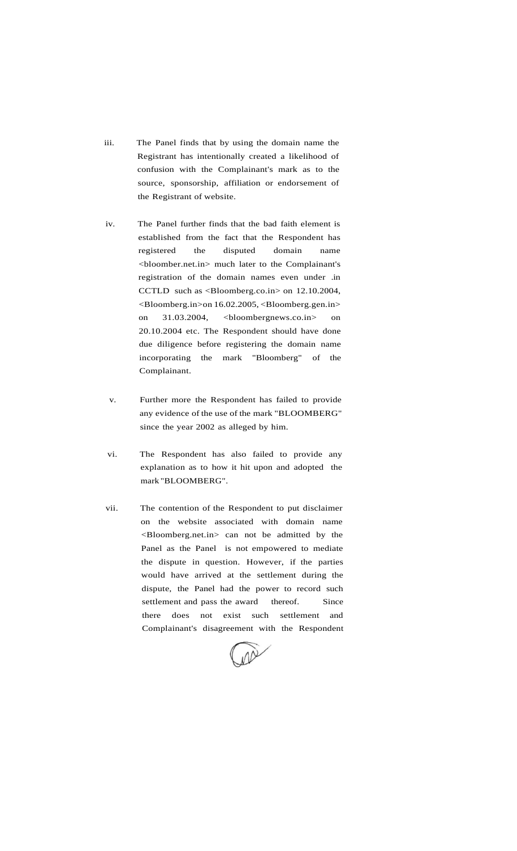- iii. The Panel finds that by using the domain name the Registrant has intentionally created a likelihood of confusion with the Complainant's mark as to the source, sponsorship, affiliation or endorsement of the Registrant of website.
- iv. The Panel further finds that the bad faith element is established from the fact that the Respondent has registered the disputed domain name <bloomber.net.in> much later to the Complainant's registration of the domain names even under .in CCTLD such as <Bloomberg.co.in> on 12.10.2004, <Bloomberg.in>on 16.02.2005, <Bloomberg.gen.in> on 31.03.2004, <br/>bloombergnews.co.in> on 20.10.2004 etc. The Respondent should have done due diligence before registering the domain name incorporating the mark "Bloomberg" of the Complainant.
- v. Further more the Respondent has failed to provide any evidence of the use of the mark "BLOOMBERG" since the year 2002 as alleged by him.
- vi. The Respondent has also failed to provide any explanation as to how it hit upon and adopted the mark "BLOOMBERG".
- vii. The contention of the Respondent to put disclaimer on the website associated with domain name <Bloomberg.net.in> can not be admitted by the Panel as the Panel is not empowered to mediate the dispute in question. However, if the parties would have arrived at the settlement during the dispute, the Panel had the power to record such settlement and pass the award thereof. Since there does not exist such settlement and Complainant's disagreement with the Respondent